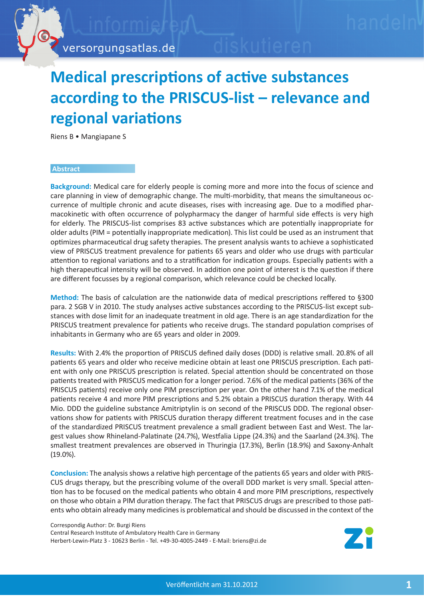

versorgungsatlas.de

## **[Medical prescriptions of active substances](http://www.versorgungsatlas.de)  according to the PRISCUS-list – relevance and regional variations**

Riens B • Mangiapane S

## **Abstract**

**Background:** Medical care for elderly people is coming more and more into the focus of science and care planning in view of demographic change. The multi-morbidity, that means the simultaneous occurrence of multiple chronic and acute diseases, rises with increasing age. Due to a modified pharmacokinetic with often occurrence of polypharmacy the danger of harmful side effects is very high for elderly. The PRISCUS-list comprises 83 active substances which are potentially inappropriate for older adults (PIM = potentially inappropriate medication). This list could be used as an instrument that optimizes pharmaceutical drug safety therapies. The present analysis wants to achieve a sophisticated view of PRISCUS treatment prevalence for patients 65 years and older who use drugs with particular attention to regional variations and to a stratification for indication groups. Especially patients with a high therapeutical intensity will be observed. In addition one point of interest is the question if there are different focusses by a regional comparison, which relevance could be checked locally.

**Method:** The basis of calculation are the nationwide data of medical prescriptions reffered to §300 para. 2 SGB V in 2010. The study analyses active substances according to the PRISCUS-list except substances with dose limit for an inadequate treatment in old age. There is an age standardization for the PRISCUS treatment prevalence for patients who receive drugs. The standard population comprises of inhabitants in Germany who are 65 years and older in 2009.

**Results:** With 2.4% the proportion of PRISCUS defined daily doses (DDD) is relative small. 20.8% of all patients 65 years and older who receive medicine obtain at least one PRISCUS prescription. Each patient with only one PRISCUS prescription is related. Special attention should be concentrated on those patients treated with PRISCUS medication for a longer period. 7.6% of the medical patients (36% of the PRISCUS patients) receive only one PIM prescription per year. On the other hand 7.1% of the medical patients receive 4 and more PIM prescriptions and 5.2% obtain a PRISCUS duration therapy. With 44 Mio. DDD the guideline substance Amitriptylin is on second of the PRISCUS DDD. The regional observations show for patients with PRISCUS duration therapy different treatment focuses and in the case of the standardized PRISCUS treatment prevalence a small gradient between East and West. The largest values show Rhineland-Palatinate (24.7%), Westfalia Lippe (24.3%) and the Saarland (24.3%). The smallest treatment prevalences are observed in Thuringia (17.3%), Berlin (18.9%) and Saxony-Anhalt (19.0%).

**Conclusion:** The analysis shows a relative high percentage of the patients 65 years and older with PRIS-CUS drugs therapy, but the prescribing volume of the overall DDD market is very small. Special attention has to be focused on the medical patients who obtain 4 and more PIM prescriptions, respectively on those who obtain a PIM duration therapy. The fact that PRISCUS drugs are prescribed to those patients who obtain already many medicines is problematical and should be discussed in the context of the

Correspondig Author: Dr. Burgi Riens Central Research Institute of Ambulatory Health Care in Germany Herbert-Lewin-Platz 3 - 10623 Berlin - Tel. +49-30-4005-2449 - E-Mail: briens@zi.de